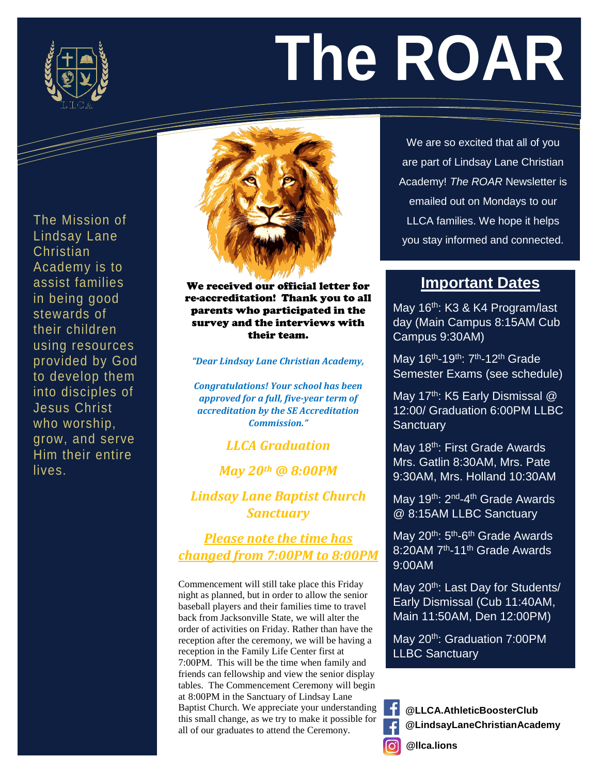

 $\gt$ 

# **The ROAR**

into disciples of The Mission of Lindsay Lane Christian Academy is to assist families in being good stewards of their children using resources provided by God to develop them Jesus Christ who worship, grow, and serve Him their entire lives.



We received our official letter for re-accreditation! Thank you to all parents who participated in the survey and the interviews with their team.

*"Dear Lindsay Lane Christian Academy,*

*Congratulations! Your school has been approved for a full, five-year term of accreditation by the SE Accreditation Commission."*

## *LLCA Graduation*

*May 20th @ 8:00PM*

*Lindsay Lane Baptist Church Sanctuary*

*Please note the time has changed from 7:00PM to 8:00PM*

Commencement will still take place this Friday night as planned, but in order to allow the senior baseball players and their families time to travel back from Jacksonville State, we will alter the order of activities on Friday. Rather than have the reception after the ceremony, we will be having a reception in the Family Life Center first at 7:00PM. This will be the time when family and friends can fellowship and view the senior display tables. The Commencement Ceremony will begin at 8:00PM in the Sanctuary of Lindsay Lane Baptist Church. We appreciate your understanding this small change, as we try to make it possible for all of our graduates to attend the Ceremony.

We are so excited that all of you are part of Lindsay Lane Christian Academy! *The ROAR* Newsletter is emailed out on Mondays to our LLCA families. We hope it helps you stay informed and connected.

## **Important Dates**

May 16<sup>th</sup>: K3 & K4 Program/last day (Main Campus 8:15AM Cub Campus 9:30AM)

May 16<sup>th</sup>-19<sup>th</sup>: 7<sup>th</sup>-12<sup>th</sup> Grade Semester Exams (see schedule)

May 17<sup>th</sup>: K5 Early Dismissal  $@$ 12:00/ Graduation 6:00PM LLBC **Sanctuary** 

May 18<sup>th</sup>: First Grade Awards Mrs. Gatlin 8:30AM, Mrs. Pate 9:30AM, Mrs. Holland 10:30AM

May 19<sup>th</sup>: 2<sup>nd</sup>-4<sup>th</sup> Grade Awards @ 8:15AM LLBC Sanctuary

May 20<sup>th</sup>: 5<sup>th</sup>-6<sup>th</sup> Grade Awards 8:20AM 7<sup>th</sup>-11<sup>th</sup> Grade Awards 9:00AM

May 20<sup>th</sup>: Last Day for Students/ Early Dismissal (Cub 11:40AM, Main 11:50AM, Den 12:00PM)

May 20<sup>th</sup>: Graduation 7:00PM LLBC Sanctuary